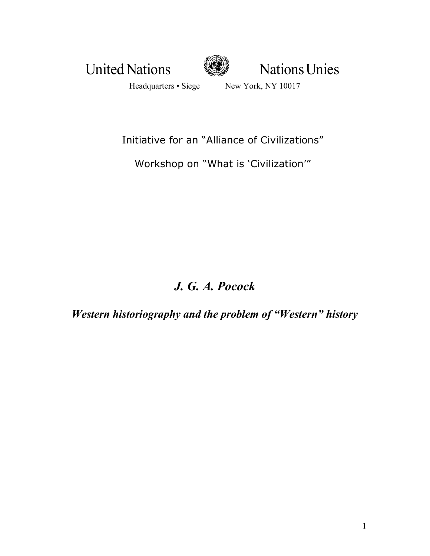



Headquarters • Siege New York, NY 10017

Initiative for an "Alliance of Civilizations"

Workshop on "What is 'Civilization'"

## *J. G. A. Pocock*

*Western historiography and the problem of "Western" history*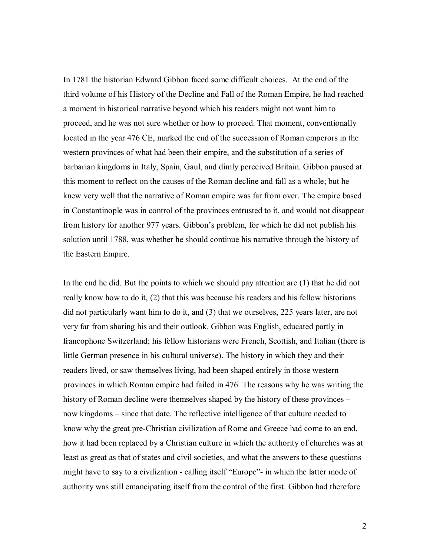In 1781 the historian Edward Gibbon faced some difficult choices. At the end of the third volume of his History of the Decline and Fall of the Roman Empire, he had reached a moment in historical narrative beyond which his readers might not want him to proceed, and he was not sure whether or how to proceed. That moment, conventionally located in the year 476 CE, marked the end of the succession of Roman emperors in the western provinces of what had been their empire, and the substitution of a series of barbarian kingdoms in Italy, Spain, Gaul, and dimly perceived Britain. Gibbon paused at this moment to reflect on the causes of the Roman decline and fall as a whole; but he knew very well that the narrative of Roman empire was far from over. The empire based in Constantinople was in control of the provinces entrusted to it, and would not disappear from history for another 977 years. Gibbon's problem, for which he did not publish his solution until 1788, was whether he should continue his narrative through the history of the Eastern Empire.

In the end he did. But the points to which we should pay attention are (1) that he did not really know how to do it, (2) that this was because his readers and his fellow historians did not particularly want him to do it, and (3) that we ourselves, 225 years later, are not very far from sharing his and their outlook. Gibbon was English, educated partly in francophone Switzerland; his fellow historians were French, Scottish, and Italian (there is little German presence in his cultural universe). The history in which they and their readers lived, or saw themselves living, had been shaped entirely in those western provinces in which Roman empire had failed in 476. The reasons why he was writing the history of Roman decline were themselves shaped by the history of these provinces – now kingdoms – since that date. The reflective intelligence of that culture needed to know why the great pre-Christian civilization of Rome and Greece had come to an end, how it had been replaced by a Christian culture in which the authority of churches was at least as great as that of states and civil societies, and what the answers to these questions might have to say to a civilization - calling itself "Europe"- in which the latter mode of authority was still emancipating itself from the control of the first. Gibbon had therefore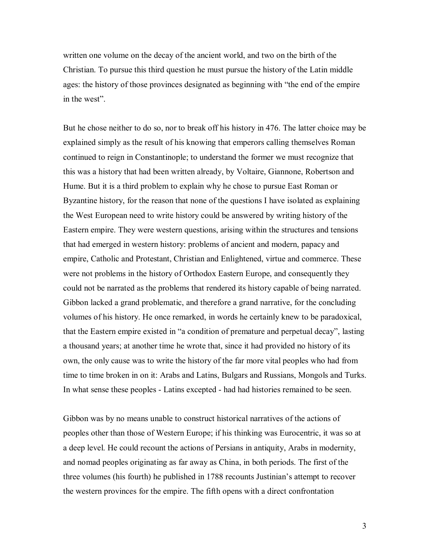written one volume on the decay of the ancient world, and two on the birth of the Christian. To pursue this third question he must pursue the history of the Latin middle ages: the history of those provinces designated as beginning with "the end of the empire in the west".

But he chose neither to do so, nor to break off his history in 476. The latter choice may be explained simply as the result of his knowing that emperors calling themselves Roman continued to reign in Constantinople; to understand the former we must recognize that this was a history that had been written already, by Voltaire, Giannone, Robertson and Hume. But it is a third problem to explain why he chose to pursue East Roman or Byzantine history, for the reason that none of the questions I have isolated as explaining the West European need to write history could be answered by writing history of the Eastern empire. They were western questions, arising within the structures and tensions that had emerged in western history: problems of ancient and modern, papacy and empire, Catholic and Protestant, Christian and Enlightened, virtue and commerce. These were not problems in the history of Orthodox Eastern Europe, and consequently they could not be narrated as the problems that rendered its history capable of being narrated. Gibbon lacked a grand problematic, and therefore a grand narrative, for the concluding volumes of his history. He once remarked, in words he certainly knew to be paradoxical, that the Eastern empire existed in "a condition of premature and perpetual decay", lasting a thousand years; at another time he wrote that, since it had provided no history of its own, the only cause was to write the history of the far more vital peoples who had from time to time broken in on it: Arabs and Latins, Bulgars and Russians, Mongols and Turks. In what sense these peoples - Latins excepted - had had histories remained to be seen.

Gibbon was by no means unable to construct historical narratives of the actions of peoples other than those of Western Europe; if his thinking was Eurocentric, it was so at a deep level. He could recount the actions of Persians in antiquity, Arabs in modernity, and nomad peoples originating as far away as China, in both periods. The first of the three volumes (his fourth) he published in 1788 recounts Justinian's attempt to recover the western provinces for the empire. The fifth opens with a direct confrontation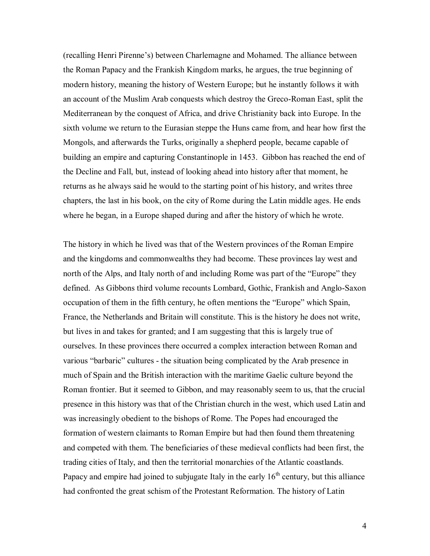(recalling Henri Pirenne's) between Charlemagne and Mohamed. The alliance between the Roman Papacy and the Frankish Kingdom marks, he argues, the true beginning of modern history, meaning the history of Western Europe; but he instantly follows it with an account of the Muslim Arab conquests which destroy the Greco-Roman East, split the Mediterranean by the conquest of Africa, and drive Christianity back into Europe. In the sixth volume we return to the Eurasian steppe the Huns came from, and hear how first the Mongols, and afterwards the Turks, originally a shepherd people, became capable of building an empire and capturing Constantinople in 1453. Gibbon has reached the end of the Decline and Fall, but, instead of looking ahead into history after that moment, he returns as he always said he would to the starting point of his history, and writes three chapters, the last in his book, on the city of Rome during the Latin middle ages. He ends where he began, in a Europe shaped during and after the history of which he wrote.

The history in which he lived was that of the Western provinces of the Roman Empire and the kingdoms and commonwealths they had become. These provinces lay west and north of the Alps, and Italy north of and including Rome was part of the "Europe" they defined. As Gibbons third volume recounts Lombard, Gothic, Frankish and Anglo-Saxon occupation of them in the fifth century, he often mentions the "Europe" which Spain, France, the Netherlands and Britain will constitute. This is the history he does not write, but lives in and takes for granted; and I am suggesting that this is largely true of ourselves. In these provinces there occurred a complex interaction between Roman and various "barbaric" cultures - the situation being complicated by the Arab presence in much of Spain and the British interaction with the maritime Gaelic culture beyond the Roman frontier. But it seemed to Gibbon, and may reasonably seem to us, that the crucial presence in this history was that of the Christian church in the west, which used Latin and was increasingly obedient to the bishops of Rome. The Popes had encouraged the formation of western claimants to Roman Empire but had then found them threatening and competed with them. The beneficiaries of these medieval conflicts had been first, the trading cities of Italy, and then the territorial monarchies of the Atlantic coastlands. Papacy and empire had joined to subjugate Italy in the early  $16<sup>th</sup>$  century, but this alliance had confronted the great schism of the Protestant Reformation. The history of Latin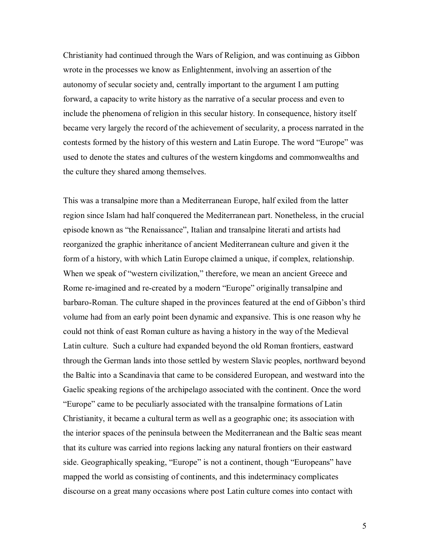Christianity had continued through the Wars of Religion, and was continuing as Gibbon wrote in the processes we know as Enlightenment, involving an assertion of the autonomy of secular society and, centrally important to the argument I am putting forward, a capacity to write history as the narrative of a secular process and even to include the phenomena of religion in this secular history. In consequence, history itself became very largely the record of the achievement of secularity, a process narrated in the contests formed by the history of this western and Latin Europe. The word "Europe" was used to denote the states and cultures of the western kingdoms and commonwealths and the culture they shared among themselves.

This was a transalpine more than a Mediterranean Europe, half exiled from the latter region since Islam had half conquered the Mediterranean part. Nonetheless, in the crucial episode known as "the Renaissance", Italian and transalpine literati and artists had reorganized the graphic inheritance of ancient Mediterranean culture and given it the form of a history, with which Latin Europe claimed a unique, if complex, relationship. When we speak of "western civilization," therefore, we mean an ancient Greece and Rome re-imagined and re-created by a modern "Europe" originally transalpine and barbaro-Roman. The culture shaped in the provinces featured at the end of Gibbon's third volume had from an early point been dynamic and expansive. This is one reason why he could not think of east Roman culture as having a history in the way of the Medieval Latin culture. Such a culture had expanded beyond the old Roman frontiers, eastward through the German lands into those settled by western Slavic peoples, northward beyond the Baltic into a Scandinavia that came to be considered European, and westward into the Gaelic speaking regions of the archipelago associated with the continent. Once the word ìEuropeî came to be peculiarly associated with the transalpine formations of Latin Christianity, it became a cultural term as well as a geographic one; its association with the interior spaces of the peninsula between the Mediterranean and the Baltic seas meant that its culture was carried into regions lacking any natural frontiers on their eastward side. Geographically speaking, "Europe" is not a continent, though "Europeans" have mapped the world as consisting of continents, and this indeterminacy complicates discourse on a great many occasions where post Latin culture comes into contact with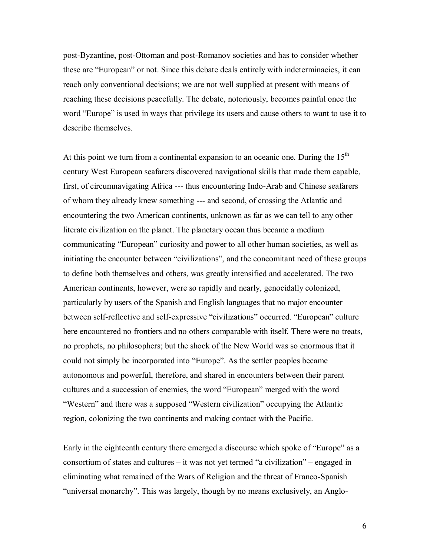post-Byzantine, post-Ottoman and post-Romanov societies and has to consider whether these are "European" or not. Since this debate deals entirely with indeterminacies, it can reach only conventional decisions; we are not well supplied at present with means of reaching these decisions peacefully. The debate, notoriously, becomes painful once the word "Europe" is used in ways that privilege its users and cause others to want to use it to describe themselves.

At this point we turn from a continental expansion to an oceanic one. During the  $15<sup>th</sup>$ century West European seafarers discovered navigational skills that made them capable, first, of circumnavigating Africa --- thus encountering Indo-Arab and Chinese seafarers of whom they already knew something --- and second, of crossing the Atlantic and encountering the two American continents, unknown as far as we can tell to any other literate civilization on the planet. The planetary ocean thus became a medium communicating "European" curiosity and power to all other human societies, as well as initiating the encounter between "civilizations", and the concomitant need of these groups to define both themselves and others, was greatly intensified and accelerated. The two American continents, however, were so rapidly and nearly, genocidally colonized, particularly by users of the Spanish and English languages that no major encounter between self-reflective and self-expressive "civilizations" occurred. "European" culture here encountered no frontiers and no others comparable with itself. There were no treats, no prophets, no philosophers; but the shock of the New World was so enormous that it could not simply be incorporated into "Europe". As the settler peoples became autonomous and powerful, therefore, and shared in encounters between their parent cultures and a succession of enemies, the word "European" merged with the word "Western" and there was a supposed "Western civilization" occupying the Atlantic region, colonizing the two continents and making contact with the Pacific.

Early in the eighteenth century there emerged a discourse which spoke of "Europe" as a consortium of states and cultures  $-$  it was not yet termed "a civilization"  $-$  engaged in eliminating what remained of the Wars of Religion and the threat of Franco-Spanish "universal monarchy". This was largely, though by no means exclusively, an Anglo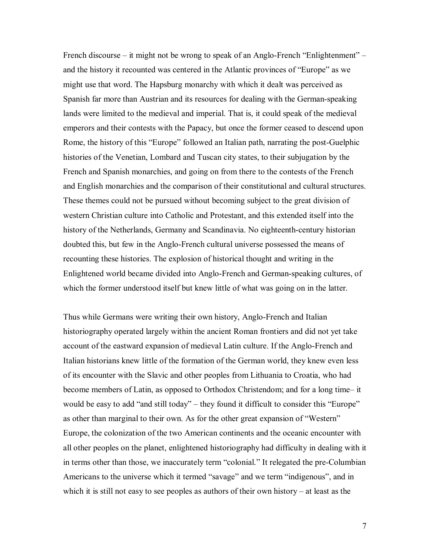French discourse  $-$  it might not be wrong to speak of an Anglo-French "Enlightenment"  $$ and the history it recounted was centered in the Atlantic provinces of "Europe" as we might use that word. The Hapsburg monarchy with which it dealt was perceived as Spanish far more than Austrian and its resources for dealing with the German-speaking lands were limited to the medieval and imperial. That is, it could speak of the medieval emperors and their contests with the Papacy, but once the former ceased to descend upon Rome, the history of this "Europe" followed an Italian path, narrating the post-Guelphic histories of the Venetian, Lombard and Tuscan city states, to their subjugation by the French and Spanish monarchies, and going on from there to the contests of the French and English monarchies and the comparison of their constitutional and cultural structures. These themes could not be pursued without becoming subject to the great division of western Christian culture into Catholic and Protestant, and this extended itself into the history of the Netherlands, Germany and Scandinavia. No eighteenth-century historian doubted this, but few in the Anglo-French cultural universe possessed the means of recounting these histories. The explosion of historical thought and writing in the Enlightened world became divided into Anglo-French and German-speaking cultures, of which the former understood itself but knew little of what was going on in the latter.

Thus while Germans were writing their own history, Anglo-French and Italian historiography operated largely within the ancient Roman frontiers and did not yet take account of the eastward expansion of medieval Latin culture. If the Anglo-French and Italian historians knew little of the formation of the German world, they knew even less of its encounter with the Slavic and other peoples from Lithuania to Croatia, who had become members of Latin, as opposed to Orthodox Christendom; and for a long time-it would be easy to add "and still today"  $-$  they found it difficult to consider this "Europe" as other than marginal to their own. As for the other great expansion of "Western" Europe, the colonization of the two American continents and the oceanic encounter with all other peoples on the planet, enlightened historiography had difficulty in dealing with it in terms other than those, we inaccurately term "colonial." It relegated the pre-Columbian Americans to the universe which it termed "savage" and we term "indigenous", and in which it is still not easy to see peoples as authors of their own history  $-$  at least as the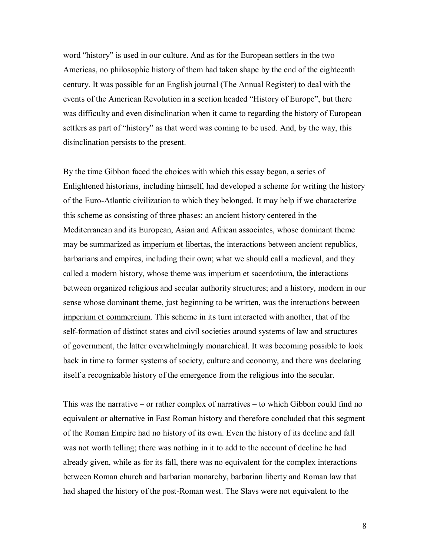word "history" is used in our culture. And as for the European settlers in the two Americas, no philosophic history of them had taken shape by the end of the eighteenth century. It was possible for an English journal (The Annual Register) to deal with the events of the American Revolution in a section headed "History of Europe", but there was difficulty and even disinclination when it came to regarding the history of European settlers as part of "history" as that word was coming to be used. And, by the way, this disinclination persists to the present.

By the time Gibbon faced the choices with which this essay began, a series of Enlightened historians, including himself, had developed a scheme for writing the history of the Euro-Atlantic civilization to which they belonged. It may help if we characterize this scheme as consisting of three phases: an ancient history centered in the Mediterranean and its European, Asian and African associates, whose dominant theme may be summarized as imperium et libertas, the interactions between ancient republics, barbarians and empires, including their own; what we should call a medieval, and they called a modern history, whose theme was imperium et sacerdotium, the interactions between organized religious and secular authority structures; and a history, modern in our sense whose dominant theme, just beginning to be written, was the interactions between imperium et commercium. This scheme in its turn interacted with another, that of the self-formation of distinct states and civil societies around systems of law and structures of government, the latter overwhelmingly monarchical. It was becoming possible to look back in time to former systems of society, culture and economy, and there was declaring itself a recognizable history of the emergence from the religious into the secular.

This was the narrative  $\sim$  or rather complex of narratives  $\sim$  to which Gibbon could find no equivalent or alternative in East Roman history and therefore concluded that this segment of the Roman Empire had no history of its own. Even the history of its decline and fall was not worth telling; there was nothing in it to add to the account of decline he had already given, while as for its fall, there was no equivalent for the complex interactions between Roman church and barbarian monarchy, barbarian liberty and Roman law that had shaped the history of the post-Roman west. The Slavs were not equivalent to the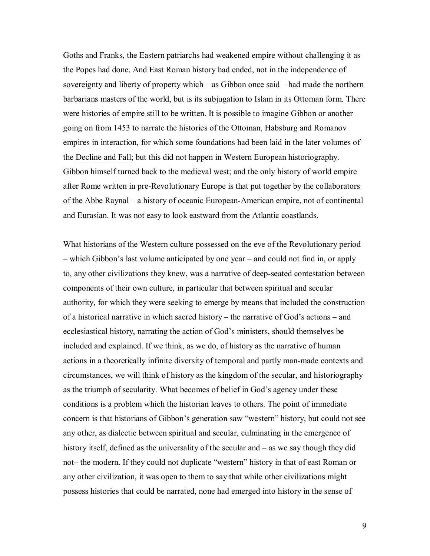Goths and Franks, the Eastern patriarchs had weakened empire without challenging it as the Popes had done. And East Roman history had ended, not in the independence of sovereignty and liberty of property which  $-$  as Gibbon once said  $-$  had made the northern barbarians masters of the world, but is its subjugation to Islam in its Ottoman form. There were histories of empire still to be written. It is possible to imagine Gibbon or another going on from 1453 to narrate the histories of the Ottoman, Habsburg and Romanov empires in interaction, for which some foundations had been laid in the later volumes of the Decline and Fall; but this did not happen in Western European historiography. Gibbon himself turned back to the medieval west; and the only history of world empire after Rome written in pre-Revolutionary Europe is that put together by the collaborators of the Abbe Raynal – a history of oceanic European-American empire, not of continental and Eurasian. It was not easy to look eastward from the Atlantic coastlands.

What historians of the Western culture possessed on the eve of the Revolutionary period – which Gibbon's last volume anticipated by one year – and could not find in, or apply to, any other civilizations they knew, was a narrative of deep-seated contestation between components of their own culture, in particular that between spiritual and secular authority, for which they were seeking to emerge by means that included the construction of a historical narrative in which sacred history – the narrative of God's actions – and ecclesiastical history, narrating the action of God's ministers, should themselves be included and explained. If we think, as we do, of history as the narrative of human actions in a theoretically infinite diversity of temporal and partly man-made contexts and circumstances, we will think of history as the kingdom of the secular, and historiography as the triumph of secularity. What becomes of belief in God's agency under these conditions is a problem which the historian leaves to others. The point of immediate concern is that historians of Gibbon's generation saw "western" history, but could not see any other, as dialectic between spiritual and secular, culminating in the emergence of history itself, defined as the universality of the secular and  $-$  as we say though they did not—the modern. If they could not duplicate "western" history in that of east Roman or any other civilization, it was open to them to say that while other civilizations might possess histories that could be narrated, none had emerged into history in the sense of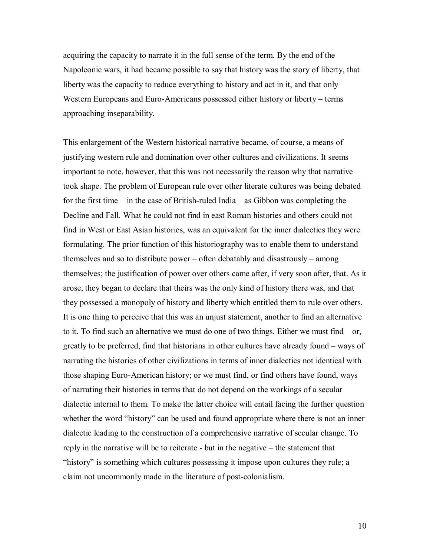acquiring the capacity to narrate it in the full sense of the term. By the end of the Napoleonic wars, it had became possible to say that history was the story of liberty, that liberty was the capacity to reduce everything to history and act in it, and that only Western Europeans and Euro-Americans possessed either history or liberty  $-$  terms approaching inseparability.

This enlargement of the Western historical narrative became, of course, a means of justifying western rule and domination over other cultures and civilizations. It seems important to note, however, that this was not necessarily the reason why that narrative took shape. The problem of European rule over other literate cultures was being debated for the first time  $-$  in the case of British-ruled India  $-$  as Gibbon was completing the Decline and Fall. What he could not find in east Roman histories and others could not find in West or East Asian histories, was an equivalent for the inner dialectics they were formulating. The prior function of this historiography was to enable them to understand themselves and so to distribute power  $-$  often debatably and disastrously  $-$  among themselves; the justification of power over others came after, if very soon after, that. As it arose, they began to declare that theirs was the only kind of history there was, and that they possessed a monopoly of history and liberty which entitled them to rule over others. It is one thing to perceive that this was an unjust statement, another to find an alternative to it. To find such an alternative we must do one of two things. Either we must find  $-$  or, greatly to be preferred, find that historians in other cultures have already found  $-$  ways of narrating the histories of other civilizations in terms of inner dialectics not identical with those shaping Euro-American history; or we must find, or find others have found, ways of narrating their histories in terms that do not depend on the workings of a secular dialectic internal to them. To make the latter choice will entail facing the further question whether the word "history" can be used and found appropriate where there is not an inner dialectic leading to the construction of a comprehensive narrative of secular change. To reply in the narrative will be to reiterate  $\text{-}$  but in the negative  $\text{-}$  the statement that "history" is something which cultures possessing it impose upon cultures they rule; a claim not uncommonly made in the literature of post-colonialism.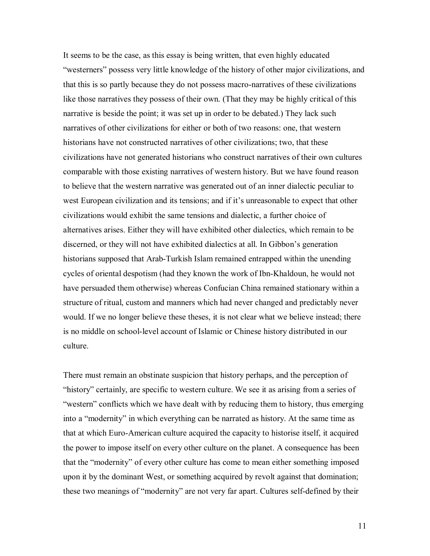It seems to be the case, as this essay is being written, that even highly educated "westerners" possess very little knowledge of the history of other major civilizations, and that this is so partly because they do not possess macro-narratives of these civilizations like those narratives they possess of their own. (That they may be highly critical of this narrative is beside the point; it was set up in order to be debated.) They lack such narratives of other civilizations for either or both of two reasons: one, that western historians have not constructed narratives of other civilizations; two, that these civilizations have not generated historians who construct narratives of their own cultures comparable with those existing narratives of western history. But we have found reason to believe that the western narrative was generated out of an inner dialectic peculiar to west European civilization and its tensions; and if it's unreasonable to expect that other civilizations would exhibit the same tensions and dialectic, a further choice of alternatives arises. Either they will have exhibited other dialectics, which remain to be discerned, or they will not have exhibited dialectics at all. In Gibbon's generation historians supposed that Arab-Turkish Islam remained entrapped within the unending cycles of oriental despotism (had they known the work of Ibn-Khaldoun, he would not have persuaded them otherwise) whereas Confucian China remained stationary within a structure of ritual, custom and manners which had never changed and predictably never would. If we no longer believe these theses, it is not clear what we believe instead; there is no middle on school-level account of Islamic or Chinese history distributed in our culture.

There must remain an obstinate suspicion that history perhaps, and the perception of "history" certainly, are specific to western culture. We see it as arising from a series of ìwesternî conflicts which we have dealt with by reducing them to history, thus emerging into a "modernity" in which everything can be narrated as history. At the same time as that at which Euro-American culture acquired the capacity to historise itself, it acquired the power to impose itself on every other culture on the planet. A consequence has been that the "modernity" of every other culture has come to mean either something imposed upon it by the dominant West, or something acquired by revolt against that domination; these two meanings of "modernity" are not very far apart. Cultures self-defined by their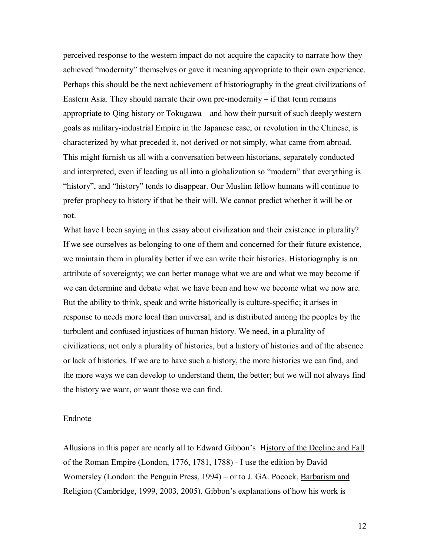perceived response to the western impact do not acquire the capacity to narrate how they achieved "modernity" themselves or gave it meaning appropriate to their own experience. Perhaps this should be the next achievement of historiography in the great civilizations of Eastern Asia. They should narrate their own pre-modernity  $-$  if that term remains appropriate to Qing history or Tokugawa – and how their pursuit of such deeply western goals as military-industrial Empire in the Japanese case, or revolution in the Chinese, is characterized by what preceded it, not derived or not simply, what came from abroad. This might furnish us all with a conversation between historians, separately conducted and interpreted, even if leading us all into a globalization so "modern" that everything is "history", and "history" tends to disappear. Our Muslim fellow humans will continue to prefer prophecy to history if that be their will. We cannot predict whether it will be or not.

What have I been saying in this essay about civilization and their existence in plurality? If we see ourselves as belonging to one of them and concerned for their future existence, we maintain them in plurality better if we can write their histories. Historiography is an attribute of sovereignty; we can better manage what we are and what we may become if we can determine and debate what we have been and how we become what we now are. But the ability to think, speak and write historically is culture-specific; it arises in response to needs more local than universal, and is distributed among the peoples by the turbulent and confused injustices of human history. We need, in a plurality of civilizations, not only a plurality of histories, but a history of histories and of the absence or lack of histories. If we are to have such a history, the more histories we can find, and the more ways we can develop to understand them, the better; but we will not always find the history we want, or want those we can find.

## Endnote

Allusions in this paper are nearly all to Edward Gibbon's History of the Decline and Fall of the Roman Empire (London, 1776, 1781, 1788) - I use the edition by David Womersley (London: the Penguin Press, 1994) – or to J. GA. Pocock, Barbarism and Religion (Cambridge, 1999, 2003, 2005). Gibbon's explanations of how his work is